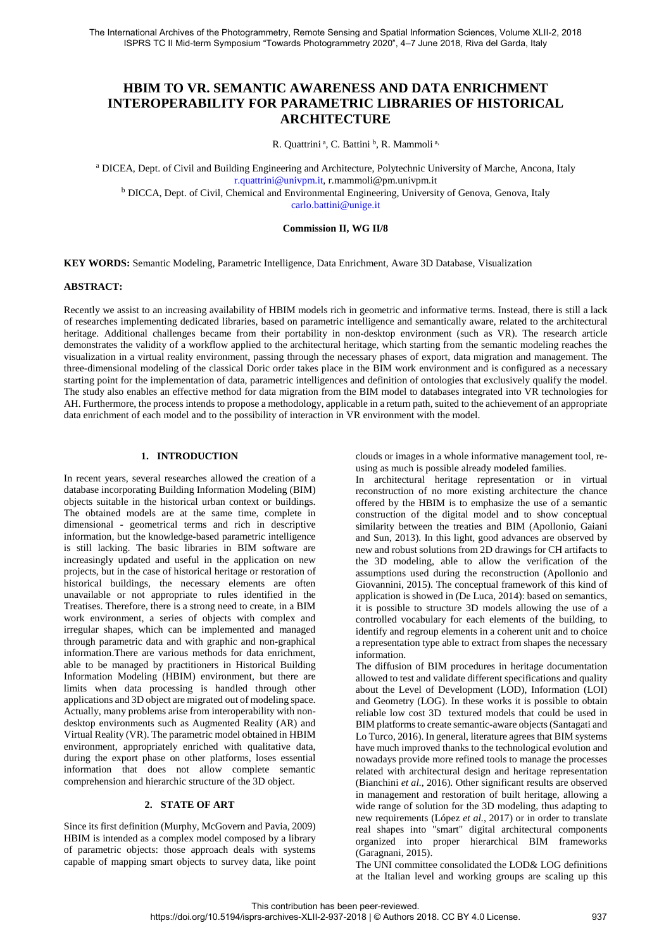# **HBIM TO VR. SEMANTIC AWARENESS AND DATA ENRICHMENT INTEROPERABILITY FOR PARAMETRIC LIBRARIES OF HISTORICAL ARCHITECTURE**

R. Quattrini<sup>a</sup>, C. Battini<sup>b</sup>, R. Mammoli<sup>a,</sup>

<sup>a</sup> DICEA, Dept. of Civil and Building Engineering and Architecture, Polytechnic University of Marche, Ancona, Italy r.quattrini@univpm.it, r.mammoli@pm.univpm.it <sup>b</sup> DICCA, Dept. of Civil, Chemical and Environmental Engineering, University of Genova, Genova, Italy

carlo.battini@unige.it

## **Commission II, WG II/8**

**KEY WORDS:** Semantic Modeling, Parametric Intelligence, Data Enrichment, Aware 3D Database, Visualization

### **ABSTRACT:**

Recently we assist to an increasing availability of HBIM models rich in geometric and informative terms. Instead, there is still a lack of researches implementing dedicated libraries, based on parametric intelligence and semantically aware, related to the architectural heritage. Additional challenges became from their portability in non-desktop environment (such as VR). The research article demonstrates the validity of a workflow applied to the architectural heritage, which starting from the semantic modeling reaches the visualization in a virtual reality environment, passing through the necessary phases of export, data migration and management. The three-dimensional modeling of the classical Doric order takes place in the BIM work environment and is configured as a necessary starting point for the implementation of data, parametric intelligences and definition of ontologies that exclusively qualify the model. The study also enables an effective method for data migration from the BIM model to databases integrated into VR technologies for AH. Furthermore, the process intends to propose a methodology, applicable in a return path, suited to the achievement of an appropriate data enrichment of each model and to the possibility of interaction in VR environment with the model.

## **1. INTRODUCTION**

In recent years, several researches allowed the creation of a database incorporating Building Information Modeling (BIM) objects suitable in the historical urban context or buildings. The obtained models are at the same time, complete in dimensional - geometrical terms and rich in descriptive information, but the knowledge-based parametric intelligence is still lacking. The basic libraries in BIM software are increasingly updated and useful in the application on new projects, but in the case of historical heritage or restoration of historical buildings, the necessary elements are often unavailable or not appropriate to rules identified in the Treatises. Therefore, there is a strong need to create, in a BIM work environment, a series of objects with complex and irregular shapes, which can be implemented and managed through parametric data and with graphic and non-graphical information.There are various methods for data enrichment, able to be managed by practitioners in Historical Building Information Modeling (HBIM) environment, but there are limits when data processing is handled through other applications and 3D object are migrated out of modeling space. Actually, many problems arise from interoperability with nondesktop environments such as Augmented Reality (AR) and Virtual Reality (VR). The parametric model obtained in HBIM environment, appropriately enriched with qualitative data, during the export phase on other platforms, loses essential information that does not allow complete semantic comprehension and hierarchic structure of the 3D object.

## **2. STATE OF ART**

Since its first definition (Murphy, McGovern and Pavia, 2009) HBIM is intended as a complex model composed by a library of parametric objects: those approach deals with systems capable of mapping smart objects to survey data, like point clouds or images in a whole informative management tool, reusing as much is possible already modeled families.

In architectural heritage representation or in virtual reconstruction of no more existing architecture the chance offered by the HBIM is to emphasize the use of a semantic construction of the digital model and to show conceptual similarity between the treaties and BIM (Apollonio, Gaiani and Sun, 2013). In this light, good advances are observed by new and robust solutions from 2D drawings for CH artifacts to the 3D modeling, able to allow the verification of the assumptions used during the reconstruction (Apollonio and Giovannini, 2015). The conceptual framework of this kind of application is showed in (De Luca, 2014): based on semantics, it is possible to structure 3D models allowing the use of a controlled vocabulary for each elements of the building, to identify and regroup elements in a coherent unit and to choice a representation type able to extract from shapes the necessary information.

The diffusion of BIM procedures in heritage documentation allowed to test and validate different specifications and quality about the Level of Development (LOD), Information (LOI) and Geometry (LOG). In these works it is possible to obtain reliable low cost 3D textured models that could be used in BIM platforms to create semantic-aware objects (Santagati and Lo Turco, 2016). In general, literature agrees that BIM systems have much improved thanks to the technological evolution and nowadays provide more refined tools to manage the processes related with architectural design and heritage representation (Bianchini *et al.*, 2016). Other significant results are observed in management and restoration of built heritage, allowing a wide range of solution for the 3D modeling, thus adapting to new requirements (López *et al.*, 2017) or in order to translate real shapes into "smart" digital architectural components organized into proper hierarchical BIM frameworks (Garagnani, 2015).

The UNI committee consolidated the LOD& LOG definitions at the Italian level and working groups are scaling up this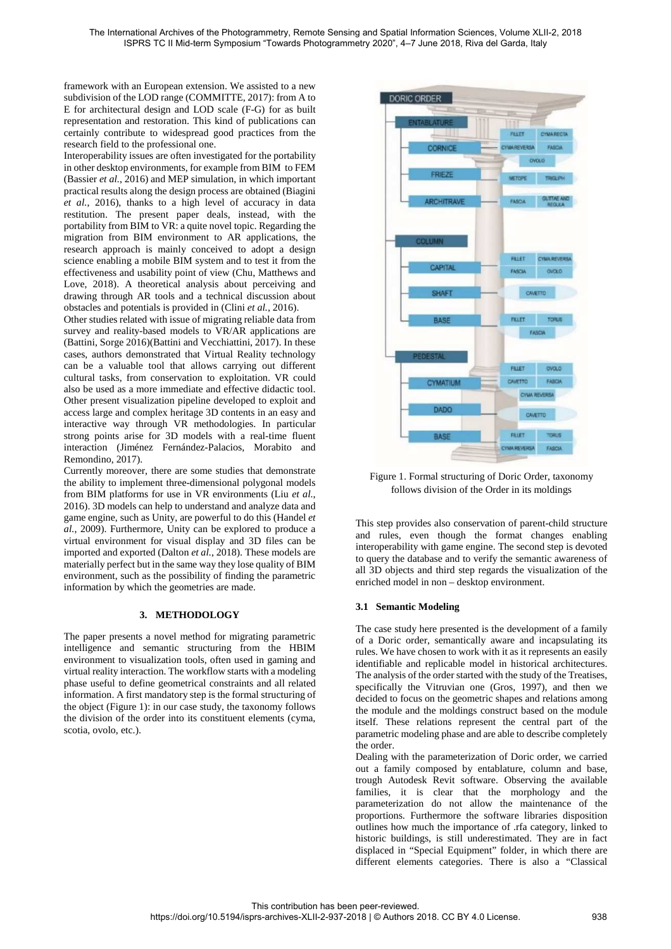framework with an European extension. We assisted to a new subdivision of the LOD range (COMMITTE, 2017): from A to E for architectural design and LOD scale (F-G) for as built representation and restoration. This kind of publications can certainly contribute to widespread good practices from the research field to the professional one.

Interoperability issues are often investigated for the portability in other desktop environments, for example from BIM to FEM (Bassier *et al.*, 2016) and MEP simulation, in which important practical results along the design process are obtained (Biagini *et al.*, 2016), thanks to a high level of accuracy in data restitution. The present paper deals, instead, with the portability from BIM to VR: a quite novel topic. Regarding the migration from BIM environment to AR applications, the research approach is mainly conceived to adopt a design science enabling a mobile BIM system and to test it from the effectiveness and usability point of view (Chu, Matthews and Love, 2018). A theoretical analysis about perceiving and drawing through AR tools and a technical discussion about obstacles and potentials is provided in (Clini *et al.*, 2016).

Other studies related with issue of migrating reliable data from survey and reality-based models to VR/AR applications are (Battini, Sorge 2016)(Battini and Vecchiattini, 2017). In these cases, authors demonstrated that Virtual Reality technology can be a valuable tool that allows carrying out different cultural tasks, from conservation to exploitation. VR could also be used as a more immediate and effective didactic tool. Other present visualization pipeline developed to exploit and access large and complex heritage 3D contents in an easy and interactive way through VR methodologies. In particular strong points arise for 3D models with a real-time fluent interaction (Jiménez Fernández-Palacios, Morabito and Remondino, 2017).

Currently moreover, there are some studies that demonstrate the ability to implement three-dimensional polygonal models from BIM platforms for use in VR environments (Liu *et al.*, 2016). 3D models can help to understand and analyze data and game engine, such as Unity, are powerful to do this (Handel *et al.*, 2009). Furthermore, Unity can be explored to produce a virtual environment for visual display and 3D files can be imported and exported (Dalton *et al.*, 2018). These models are materially perfect but in the same way they lose quality of BIM environment, such as the possibility of finding the parametric information by which the geometries are made.

## **3. METHODOLOGY**

The paper presents a novel method for migrating parametric intelligence and semantic structuring from the HBIM environment to visualization tools, often used in gaming and virtual reality interaction. The workflow starts with a modeling phase useful to define geometrical constraints and all related information. A first mandatory step is the formal structuring of the object (Figure 1): in our case study, the taxonomy follows the division of the order into its constituent elements (cyma, scotia, ovolo, etc.).



Figure 1. Formal structuring of Doric Order, taxonomy follows division of the Order in its moldings

This step provides also conservation of parent-child structure and rules, even though the format changes enabling interoperability with game engine. The second step is devoted to query the database and to verify the semantic awareness of all 3D objects and third step regards the visualization of the enriched model in non – desktop environment.

#### **3.1 Semantic Modeling**

The case study here presented is the development of a family of a Doric order, semantically aware and incapsulating its rules. We have chosen to work with it as it represents an easily identifiable and replicable model in historical architectures. The analysis of the order started with the study of the Treatises, specifically the Vitruvian one (Gros, 1997), and then we decided to focus on the geometric shapes and relations among the module and the moldings construct based on the module itself. These relations represent the central part of the parametric modeling phase and are able to describe completely the order.

Dealing with the parameterization of Doric order, we carried out a family composed by entablature, column and base, trough Autodesk Revit software. Observing the available families, it is clear that the morphology and the parameterization do not allow the maintenance of the proportions. Furthermore the software libraries disposition outlines how much the importance of .rfa category, linked to historic buildings, is still underestimated. They are in fact displaced in "Special Equipment" folder, in which there are different elements categories. There is also a "Classical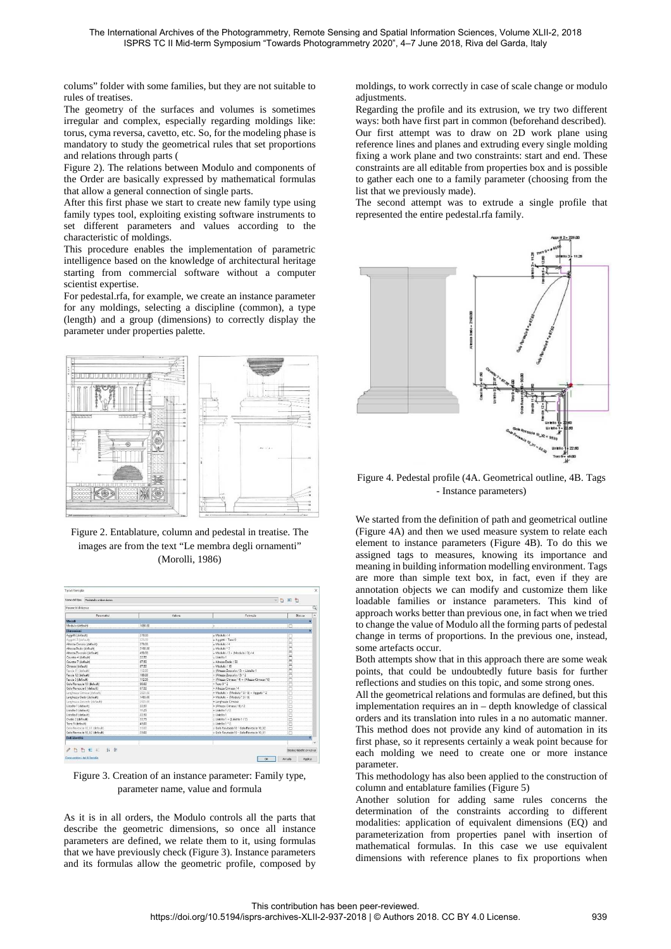colums" folder with some families, but they are not suitable to rules of treatises.

The geometry of the surfaces and volumes is sometimes irregular and complex, especially regarding moldings like: torus, cyma reversa, cavetto, etc. So, for the modeling phase is mandatory to study the geometrical rules that set proportions and relations through parts (

Figure 2). The relations between Modulo and components of the Order are basically expressed by mathematical formulas that allow a general connection of single parts.

After this first phase we start to create new family type using family types tool, exploiting existing software instruments to set different parameters and values according to the characteristic of moldings.

This procedure enables the implementation of parametric intelligence based on the knowledge of architectural heritage starting from commercial software without a computer scientist expertise.

For pedestal.rfa, for example, we create an instance parameter for any moldings, selecting a discipline (common), a type (length) and a group (dimensions) to correctly display the parameter under properties palette.



Figure 2. Entablature, column and pedestal in treatise. The images are from the text "Le membra degli ornamenti" (Morolli, 1986)



Figure 3. Creation of an instance parameter: Family type, parameter name, value and formula

As it is in all orders, the Modulo controls all the parts that describe the geometric dimensions, so once all instance parameters are defined, we relate them to it, using formulas that we have previously check (Figure 3). Instance parameters and its formulas allow the geometric profile, composed by moldings, to work correctly in case of scale change or modulo adjustments.

Regarding the profile and its extrusion, we try two different ways: both have first part in common (beforehand described). Our first attempt was to draw on 2D work plane using reference lines and planes and extruding every single molding fixing a work plane and two constraints: start and end. These constraints are all editable from properties box and is possible to gather each one to a family parameter (choosing from the list that we previously made).

The second attempt was to extrude a single profile that represented the entire pedestal.rfa family.



## Figure 4. Pedestal profile (4A. Geometrical outline, 4B. Tags - Instance parameters)

We started from the definition of path and geometrical outline (Figure 4A) and then we used measure system to relate each element to instance parameters (Figure 4B). To do this we assigned tags to measures, knowing its importance and meaning in building information modelling environment. Tags are more than simple text box, in fact, even if they are annotation objects we can modify and customize them like loadable families or instance parameters. This kind of approach works better than previous one, in fact when we tried to change the value of Modulo all the forming parts of pedestal change in terms of proportions. In the previous one, instead, some artefacts occur.

Both attempts show that in this approach there are some weak points, that could be undoubtedly future basis for further reflections and studies on this topic, and some strong ones.

All the geometrical relations and formulas are defined, but this implementation requires an in – depth knowledge of classical orders and its translation into rules in a no automatic manner. This method does not provide any kind of automation in its first phase, so it represents certainly a weak point because for each molding we need to create one or more instance parameter.

This methodology has also been applied to the construction of column and entablature families (Figure 5)

Another solution for adding same rules concerns the determination of the constraints according to different modalities: application of equivalent dimensions (EQ) and parameterization from properties panel with insertion of mathematical formulas. In this case we use equivalent dimensions with reference planes to fix proportions when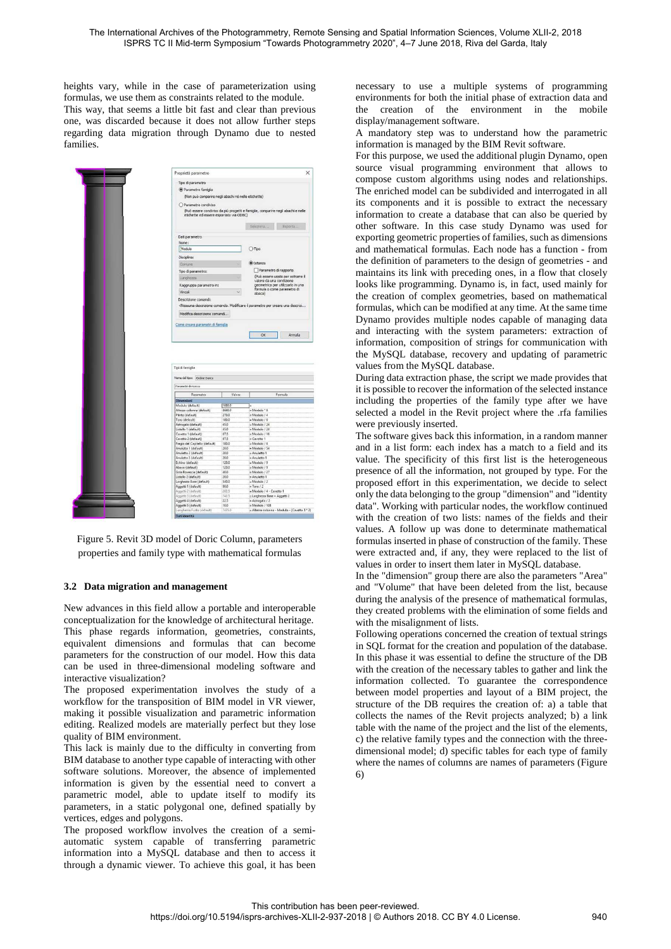heights vary, while in the case of parameterization using formulas, we use them as constraints related to the module. This way, that seems a little bit fast and clear than previous one, was discarded because it does not allow further steps regarding data migration through Dynamo due to nested families.



Figure 5. Revit 3D model of Doric Column, parameters properties and family type with mathematical formulas

## **3.2 Data migration and management**

New advances in this field allow a portable and interoperable conceptualization for the knowledge of architectural heritage. This phase regards information, geometries, constraints, equivalent dimensions and formulas that can become parameters for the construction of our model. How this data can be used in three-dimensional modeling software and interactive visualization?

The proposed experimentation involves the study of a workflow for the transposition of BIM model in VR viewer, making it possible visualization and parametric information editing. Realized models are materially perfect but they lose quality of BIM environment.

This lack is mainly due to the difficulty in converting from BIM database to another type capable of interacting with other software solutions. Moreover, the absence of implemented information is given by the essential need to convert a parametric model, able to update itself to modify its parameters, in a static polygonal one, defined spatially by vertices, edges and polygons.

The proposed workflow involves the creation of a semiautomatic system capable of transferring parametric information into a MySQL database and then to access it through a dynamic viewer. To achieve this goal, it has been necessary to use a multiple systems of programming environments for both the initial phase of extraction data and the creation of the environment in the mobile display/management software.

A mandatory step was to understand how the parametric information is managed by the BIM Revit software.

For this purpose, we used the additional plugin Dynamo, open source visual programming environment that allows to compose custom algorithms using nodes and relationships. The enriched model can be subdivided and interrogated in all its components and it is possible to extract the necessary information to create a database that can also be queried by other software. In this case study Dynamo was used for exporting geometric properties of families, such as dimensions and mathematical formulas. Each node has a function - from the definition of parameters to the design of geometries - and maintains its link with preceding ones, in a flow that closely looks like programming. Dynamo is, in fact, used mainly for the creation of complex geometries, based on mathematical formulas, which can be modified at any time. At the same time Dynamo provides multiple nodes capable of managing data and interacting with the system parameters: extraction of information, composition of strings for communication with the MySQL database, recovery and updating of parametric values from the MySQL database.

During data extraction phase, the script we made provides that it is possible to recover the information of the selected instance including the properties of the family type after we have selected a model in the Revit project where the .rfa families were previously inserted.

The software gives back this information, in a random manner and in a list form: each index has a match to a field and its value. The specificity of this first list is the heterogeneous presence of all the information, not grouped by type. For the proposed effort in this experimentation, we decide to select only the data belonging to the group "dimension" and "identity data". Working with particular nodes, the workflow continued with the creation of two lists: names of the fields and their values. A follow up was done to determinate mathematical formulas inserted in phase of construction of the family. These were extracted and, if any, they were replaced to the list of values in order to insert them later in MySQL database.

In the "dimension" group there are also the parameters "Area" and "Volume" that have been deleted from the list, because during the analysis of the presence of mathematical formulas, they created problems with the elimination of some fields and with the misalignment of lists.

Following operations concerned the creation of textual strings in SQL format for the creation and population of the database. In this phase it was essential to define the structure of the DB with the creation of the necessary tables to gather and link the information collected. To guarantee the correspondence between model properties and layout of a BIM project, the structure of the DB requires the creation of: a) a table that collects the names of the Revit projects analyzed; b) a link table with the name of the project and the list of the elements, c) the relative family types and the connection with the threedimensional model; d) specific tables for each type of family where the names of columns are names of parameters (Figure 6)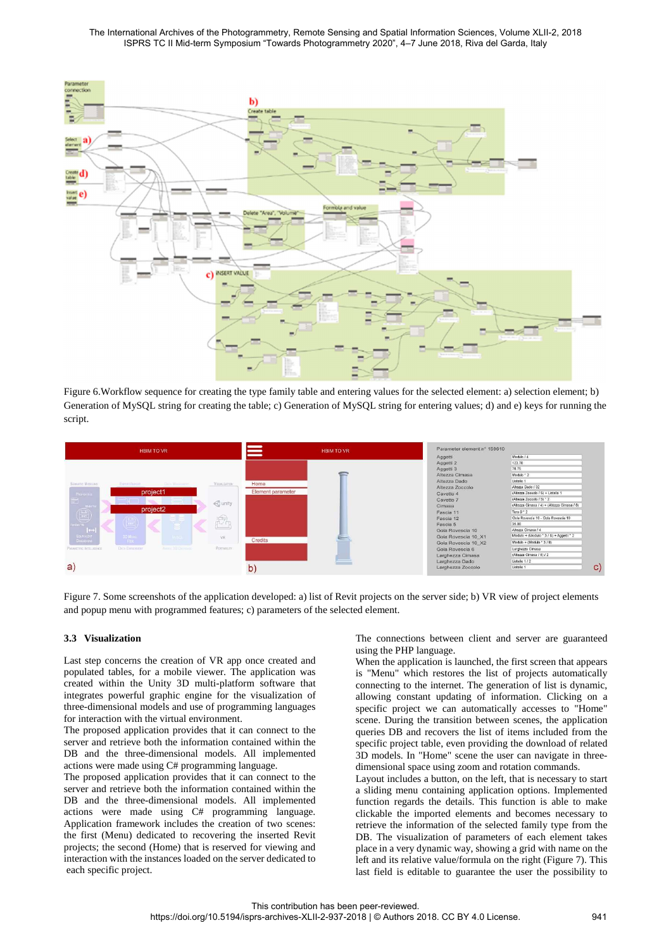

Figure 6.Workflow sequence for creating the type family table and entering values for the selected element: a) selection element; b) Generation of MySQL string for creating the table; c) Generation of MySQL string for entering values; d) and e) keys for running the script.



Figure 7. Some screenshots of the application developed: a) list of Revit projects on the server side; b) VR view of project elements and popup menu with programmed features; c) parameters of the selected element.

## **3.3 Visualization**

Last step concerns the creation of VR app once created and populated tables, for a mobile viewer. The application was created within the Unity 3D multi-platform software that integrates powerful graphic engine for the visualization of three-dimensional models and use of programming languages for interaction with the virtual environment.

The proposed application provides that it can connect to the server and retrieve both the information contained within the DB and the three-dimensional models. All implemented actions were made using C# programming language.

The proposed application provides that it can connect to the server and retrieve both the information contained within the DB and the three-dimensional models. All implemented actions were made using C# programming language. Application framework includes the creation of two scenes: the first (Menu) dedicated to recovering the inserted Revit projects; the second (Home) that is reserved for viewing and interaction with the instances loaded on the server dedicated to each specific project.

The connections between client and server are guaranteed using the PHP language.

When the application is launched, the first screen that appears is "Menu" which restores the list of projects automatically connecting to the internet. The generation of list is dynamic, allowing constant updating of information. Clicking on a specific project we can automatically accesses to "Home" scene. During the transition between scenes, the application queries DB and recovers the list of items included from the specific project table, even providing the download of related 3D models. In "Home" scene the user can navigate in threedimensional space using zoom and rotation commands.

Layout includes a button, on the left, that is necessary to start a sliding menu containing application options. Implemented function regards the details. This function is able to make clickable the imported elements and becomes necessary to retrieve the information of the selected family type from the DB. The visualization of parameters of each element takes place in a very dynamic way, showing a grid with name on the left and its relative value/formula on the right (Figure 7). This last field is editable to guarantee the user the possibility to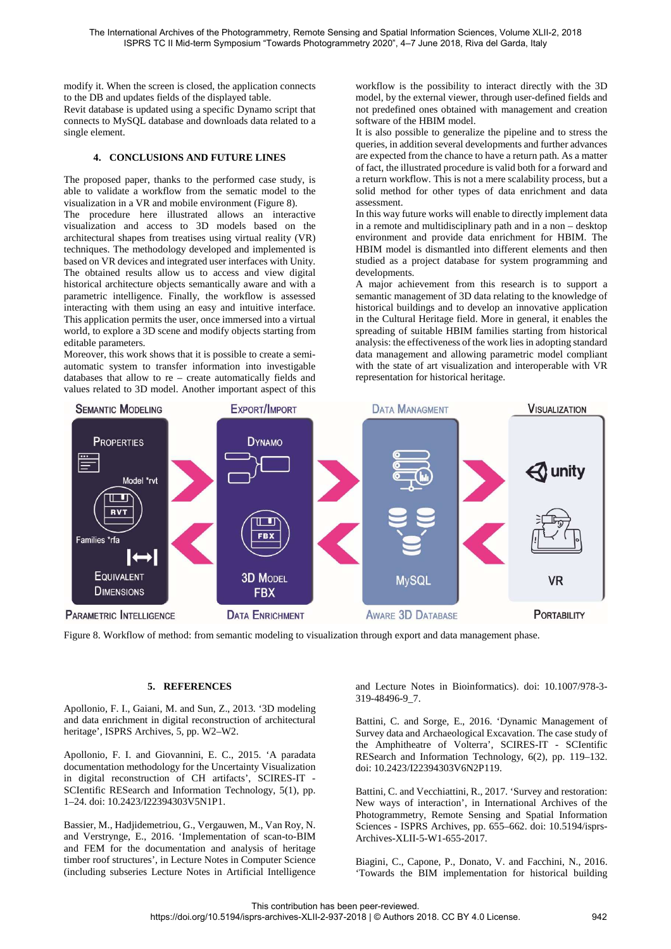modify it. When the screen is closed, the application connects to the DB and updates fields of the displayed table.

Revit database is updated using a specific Dynamo script that connects to MySQL database and downloads data related to a single element.

# **4. CONCLUSIONS AND FUTURE LINES**

The proposed paper, thanks to the performed case study, is able to validate a workflow from the sematic model to the visualization in a VR and mobile environment (Figure 8).

The procedure here illustrated allows an interactive visualization and access to 3D models based on the architectural shapes from treatises using virtual reality (VR) techniques. The methodology developed and implemented is based on VR devices and integrated user interfaces with Unity. The obtained results allow us to access and view digital historical architecture objects semantically aware and with a parametric intelligence. Finally, the workflow is assessed interacting with them using an easy and intuitive interface. This application permits the user, once immersed into a virtual world, to explore a 3D scene and modify objects starting from editable parameters.

Moreover, this work shows that it is possible to create a semiautomatic system to transfer information into investigable databases that allow to re – create automatically fields and values related to 3D model. Another important aspect of this workflow is the possibility to interact directly with the 3D model, by the external viewer, through user-defined fields and not predefined ones obtained with management and creation software of the HBIM model.

It is also possible to generalize the pipeline and to stress the queries, in addition several developments and further advances are expected from the chance to have a return path. As a matter of fact, the illustrated procedure is valid both for a forward and a return workflow. This is not a mere scalability process, but a solid method for other types of data enrichment and data assessment.

In this way future works will enable to directly implement data in a remote and multidisciplinary path and in a non – desktop environment and provide data enrichment for HBIM. The HBIM model is dismantled into different elements and then studied as a project database for system programming and developments.

A major achievement from this research is to support a semantic management of 3D data relating to the knowledge of historical buildings and to develop an innovative application in the Cultural Heritage field. More in general, it enables the spreading of suitable HBIM families starting from historical analysis: the effectiveness of the work lies in adopting standard data management and allowing parametric model compliant with the state of art visualization and interoperable with VR representation for historical heritage.



Figure 8. Workflow of method: from semantic modeling to visualization through export and data management phase.

## **5. REFERENCES**

Apollonio, F. I., Gaiani, M. and Sun, Z., 2013. '3D modeling and data enrichment in digital reconstruction of architectural heritage', ISPRS Archives, 5, pp. W2–W2.

Apollonio, F. I. and Giovannini, E. C., 2015. 'A paradata documentation methodology for the Uncertainty Visualization in digital reconstruction of CH artifacts', SCIRES-IT - SCIentific RESearch and Information Technology, 5(1), pp. 1–24. doi: 10.2423/I22394303V5N1P1.

Bassier, M., Hadjidemetriou, G., Vergauwen, M., Van Roy, N. and Verstrynge, E., 2016. 'Implementation of scan-to-BIM and FEM for the documentation and analysis of heritage timber roof structures', in Lecture Notes in Computer Science (including subseries Lecture Notes in Artificial Intelligence and Lecture Notes in Bioinformatics). doi: 10.1007/978-3- 319-48496-9\_7.

Battini, C. and Sorge, E., 2016. 'Dynamic Management of Survey data and Archaeological Excavation. The case study of the Amphitheatre of Volterra', SCIRES-IT - SCIentific RESearch and Information Technology, 6(2), pp. 119–132. doi: 10.2423/I22394303V6N2P119.

Battini, C. and Vecchiattini, R., 2017. 'Survey and restoration: New ways of interaction', in International Archives of the Photogrammetry, Remote Sensing and Spatial Information Sciences - ISPRS Archives, pp. 655–662. doi: 10.5194/isprs-Archives-XLII-5-W1-655-2017.

Biagini, C., Capone, P., Donato, V. and Facchini, N., 2016. 'Towards the BIM implementation for historical building